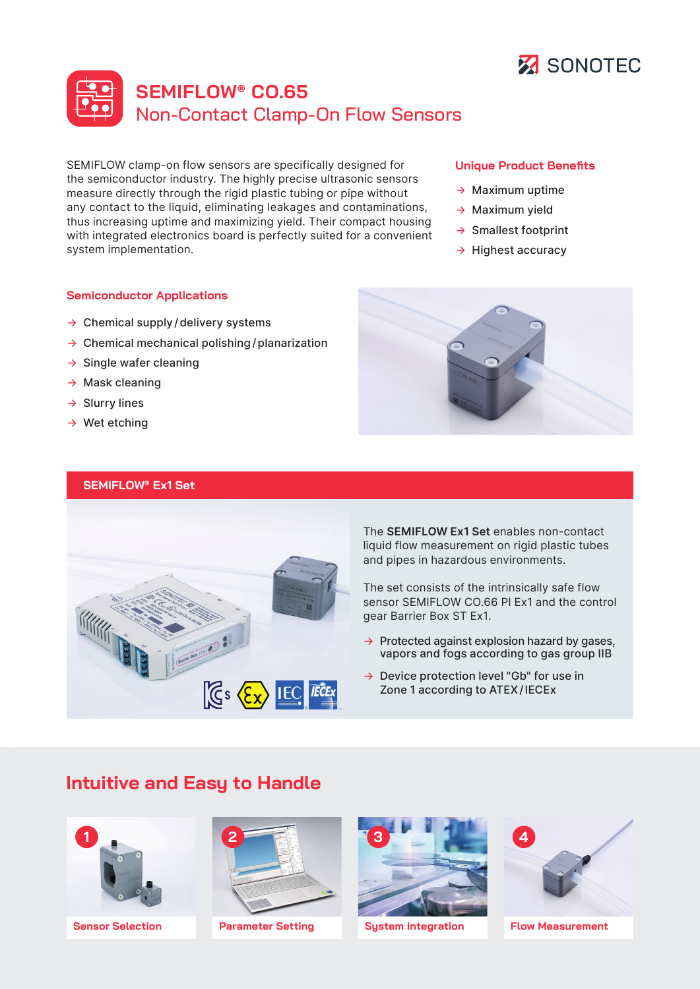

# **SEMIFLOW® CO.65** Non-Contact Clamp-On Flow Sensors

[SEMIFLOW clamp-on flow](https://www.sonotec.eu/products/non-invasive-fluid-monitoring/flow-rate-measurement/sonoflow-clamp-on-sensor/) sensors are specifically designed for the semiconductor industry. The highly precise ultrasonic sensors measure directly through the rigid plastic tubing or pipe without any contact to the liquid, eliminating leakages and contaminations, thus increasing uptime and maximizing yield. Their compact housing with integrated electronics board is perfectly suited for a convenient system implementation.

#### **Semiconductor Applications**

- $\rightarrow$  Chemical supply/delivery systems
- $\rightarrow$  Chemical mechanical polishing/planarization
- $\rightarrow$  Single wafer cleaning
- $\rightarrow$  Mask cleaning
- $\rightarrow$  Slurry lines
- $\rightarrow$  Wet etching

#### **SEMIFLOW® Ex1 Set**



The **SEMIFLOW Ex1 Set** enables non-contact liquid flow measurement on rigid plastic tubes and pipes in hazardous environments.

The set consists of the intrinsically safe flow sensor SEMIFLOW CO.66 PI Ex1 and the control gear Barrier Box ST Ex1.

- $\rightarrow$  Protected against explosion hazard by gases, vapors and fogs according to gas group IIB
- → Device protection level "Gb" for use in Zone 1 according to ATEX/IECEx

## **Intuitive and Easy to Handle**





**Sensor Selection Parameter Setting System Integration Flow Measurement**







- $\rightarrow$  Maximum uptime
- $\rightarrow$  Maximum yield
- → Smallest footprint
- $\rightarrow$  Highest accuracy